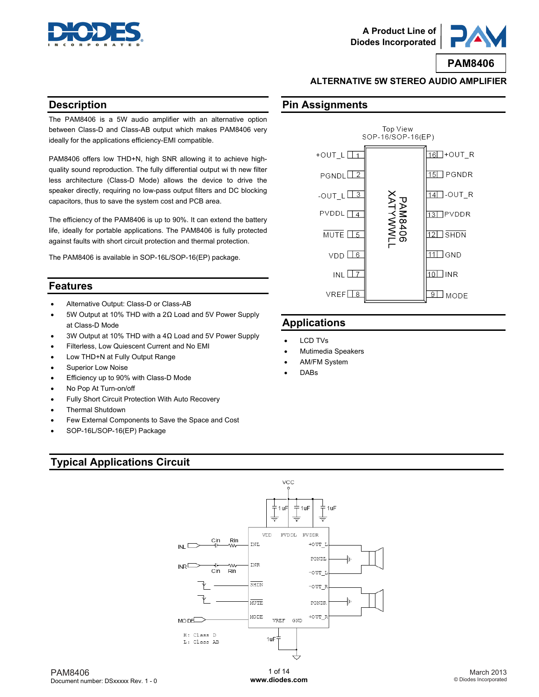



### **ALTERNATIVE 5W STEREO AUDIO AMPLIFIER**

### **Description**

The PAM8406 is a 5W audio amplifier with an alternative option between Class-D and Class-AB output which makes PAM8406 very ideally for the applications efficiency-EMI compatible.

PAM8406 offers low THD+N, high SNR allowing it to achieve highquality sound reproduction. The fully differential output wi th new filter less architecture (Class-D Mode) allows the device to drive the speaker directly, requiring no low-pass output filters and DC blocking capacitors, thus to save the system cost and PCB area.

The efficiency of the PAM8406 is up to 90%. It can extend the battery life, ideally for portable applications. The PAM8406 is fully protected against faults with short circuit protection and thermal protection.

The PAM8406 is available in SOP-16L/SOP-16(EP) package.

### **Features**

- Alternative Output: Class-D or Class-AB
- 5W Output at 10% THD with a 2Ω Load and 5V Power Supply at Class-D Mode
- 3W Output at 10% THD with a 4Ω Load and 5V Power Supply
- Filterless, Low Quiescent Current and No EMI
- Low THD+N at Fully Output Range
- Superior Low Noise
- Efficiency up to 90% with Class-D Mode
- No Pop At Turn-on/off
- Fully Short Circuit Protection With Auto Recovery
- Thermal Shutdown
- Few External Components to Save the Space and Cost
- SOP-16L/SOP-16(EP) Package



- LCD TVs
- Mutimedia Speakers
- AM/FM System
- DABs

# **Typical Applications Circuit**



1 of 14 **[www.diodes.com](http://www.diodes.com)**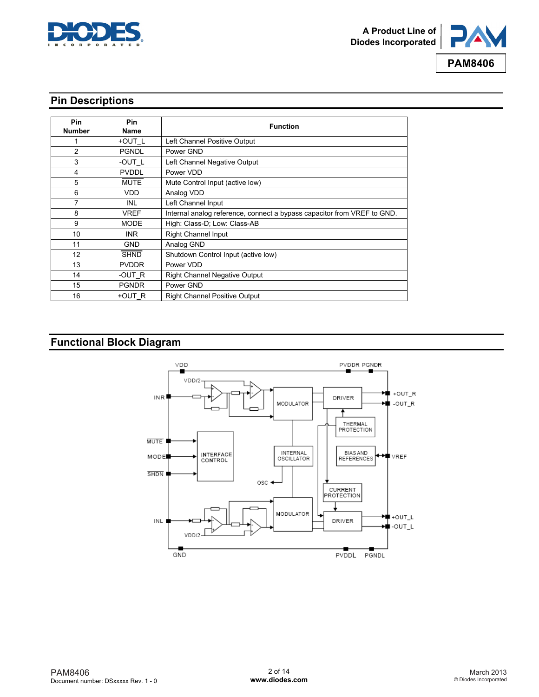



### **Pin Descriptions**

| <b>Pin</b><br><b>Number</b> | <b>Pin</b><br>Name | <b>Function</b>                                                         |
|-----------------------------|--------------------|-------------------------------------------------------------------------|
|                             | +OUT_L             | Left Channel Positive Output                                            |
| $\overline{2}$              | <b>PGNDL</b>       | Power GND                                                               |
| 3                           | -OUT L             | Left Channel Negative Output                                            |
| 4                           | <b>PVDDL</b>       | Power VDD                                                               |
| 5                           | <b>MUTE</b>        | Mute Control Input (active low)                                         |
| 6                           | <b>VDD</b>         | Analog VDD                                                              |
| 7                           | <b>INL</b>         | Left Channel Input                                                      |
| 8                           | VREF               | Internal analog reference, connect a bypass capacitor from VREF to GND. |
| 9                           | <b>MODE</b>        | High: Class-D; Low: Class-AB                                            |
| 10                          | INR.               | <b>Right Channel Input</b>                                              |
| 11                          | <b>GND</b>         | Analog GND                                                              |
| $12 \overline{ }$           | <b>SHND</b>        | Shutdown Control Input (active low)                                     |
| 13                          | <b>PVDDR</b>       | Power VDD                                                               |
| 14                          | -OUT R             | <b>Right Channel Negative Output</b>                                    |
| 15                          | <b>PGNDR</b>       | Power GND                                                               |
| 16                          | +OUT R             | <b>Right Channel Positive Output</b>                                    |

### **Functional Block Diagram**

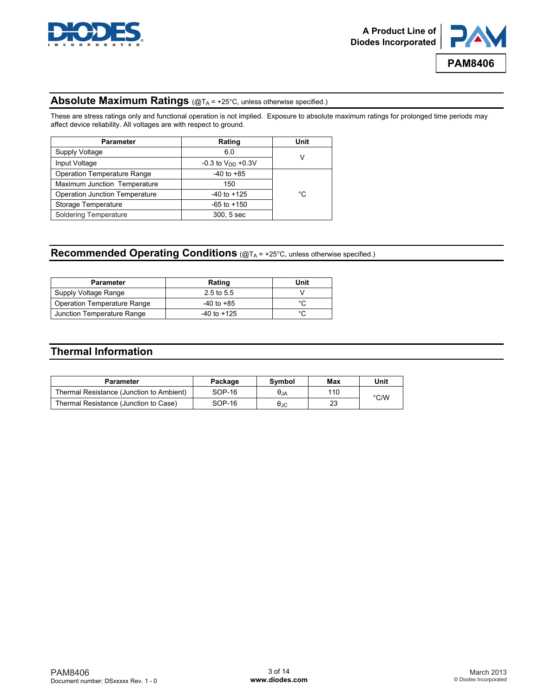



### **Absolute Maximum Ratings** (@TA = +25°C, unless otherwise specified.)

These are stress ratings only and functional operation is not implied. Exposure to absolute maximum ratings for prolonged time periods may affect device reliability. All voltages are with respect to ground.

| <b>Parameter</b>                      | Rating                   | Unit |
|---------------------------------------|--------------------------|------|
| Supply Voltage                        | 6.0                      |      |
| Input Voltage                         | $-0.3$ to $V_{DD}$ +0.3V | V    |
| <b>Operation Temperature Range</b>    | $-40$ to $+85$           |      |
| Maximum Junction Temperature          | 150                      |      |
| <b>Operation Junction Temperature</b> | $-40$ to $+125$          | °C   |
| Storage Temperature                   | $-65$ to $+150$          |      |
| Soldering Temperature                 | 300, 5 sec               |      |

## **Recommended Operating Conditions** (@TA = +25°C, unless otherwise specified.)

| <b>Parameter</b>            | Rating         | Unit   |
|-----------------------------|----------------|--------|
| Supply Voltage Range        | 2.5 to 5.5     |        |
| Operation Temperature Range | $-40$ to $+85$ | ∘∩     |
| Junction Temperature Range  | -40 to +125    | $\sim$ |

### **Thermal Information**

| <b>Parameter</b>                         | Package  | Symbol | Max | Unit |
|------------------------------------------|----------|--------|-----|------|
| Thermal Resistance (Junction to Ambient) | $SOP-16$ | θja    | 110 | °C/W |
| Thermal Resistance (Junction to Case)    | $SOP-16$ | Өлс    | 23  |      |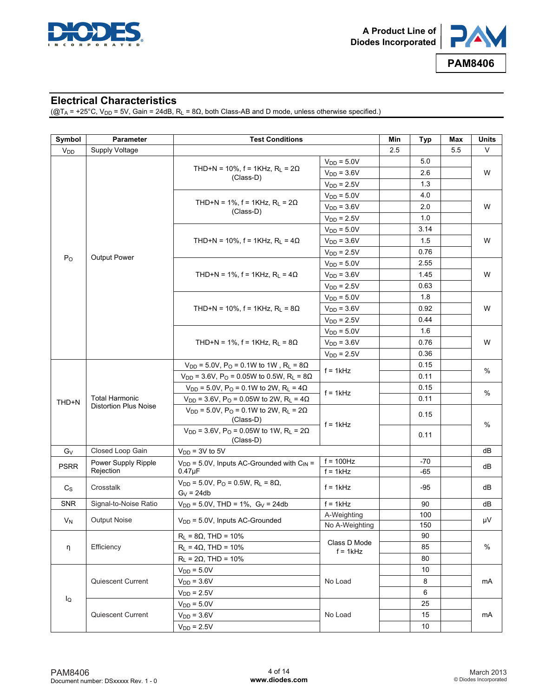



### **Electrical Characteristics**

( $@T_A$  = +25°C, V<sub>DD</sub> = 5V, Gain = 24dB, R<sub>L</sub> = 8Ω, both Class-AB and D mode, unless otherwise specified.)

| Symbol          | <b>Parameter</b>             | <b>Test Conditions</b>                                                                  |                            | Min | Typ   | Max | Units |
|-----------------|------------------------------|-----------------------------------------------------------------------------------------|----------------------------|-----|-------|-----|-------|
| V <sub>DD</sub> | Supply Voltage               |                                                                                         |                            | 2.5 |       | 5.5 | V     |
|                 |                              |                                                                                         | $V_{DD} = 5.0V$            |     | 5.0   |     | W     |
|                 |                              | THD+N = 10%, f = 1KHz, $R_L$ = 2 $\Omega$<br>(Class-D)                                  | $V_{DD} = 3.6V$            |     | 2.6   |     |       |
|                 |                              |                                                                                         | $V_{DD} = 2.5V$            |     | 1.3   |     |       |
|                 |                              |                                                                                         | $VDD = 5.0V$               |     | 4.0   |     |       |
|                 |                              | THD+N = 1%, f = 1KHz, $R_L$ = 2 $\Omega$                                                | $V_{DD} = 3.6V$            |     | 2.0   |     | W     |
|                 |                              | (Class-D)                                                                               | $V_{DD} = 2.5V$            |     | 1.0   |     |       |
|                 |                              |                                                                                         | $V_{DD} = 5.0V$            |     | 3.14  |     |       |
|                 |                              | THD+N = 10%, f = 1KHz, R <sub>L</sub> = 4 $\Omega$                                      | $V_{DD} = 3.6V$            |     | 1.5   |     | W     |
|                 |                              |                                                                                         | $V_{DD} = 2.5V$            |     | 0.76  |     |       |
| $P_{O}$         | Output Power                 |                                                                                         | $V_{DD} = 5.0V$            |     | 2.55  |     |       |
|                 |                              | THD+N = 1%, f = 1KHz, $R_L$ = 4 $\Omega$                                                | $V_{DD} = 3.6V$            |     | 1.45  |     | W     |
|                 |                              |                                                                                         | $V_{DD} = 2.5V$            |     | 0.63  |     |       |
|                 |                              |                                                                                         | $V_{DD} = 5.0V$            |     | 1.8   |     |       |
|                 |                              | THD+N = 10%, f = 1KHz, R <sub>L</sub> = 8 $\Omega$                                      | $V_{DD} = 3.6V$            |     | 0.92  |     | W     |
|                 |                              |                                                                                         | $V_{DD} = 2.5V$            |     | 0.44  |     |       |
|                 |                              |                                                                                         | $V_{DD} = 5.0V$            |     | 1.6   |     |       |
|                 |                              | THD+N = 1%, f = 1KHz, $R_L$ = 8 $\Omega$                                                | $V_{DD} = 3.6V$            |     | 0.76  |     | W     |
|                 |                              |                                                                                         | $V_{DD} = 2.5V$            |     | 0.36  |     |       |
|                 |                              | $V_{DD}$ = 5.0V, P <sub>O</sub> = 0.1W to 1W, R <sub>L</sub> = 8 $\Omega$               | $f = 1kHz$                 |     | 0.15  |     |       |
|                 |                              | $V_{DD}$ = 3.6V, P <sub>O</sub> = 0.05W to 0.5W, R <sub>L</sub> = 8 $\Omega$            |                            |     | 0.11  |     | %     |
|                 |                              | $V_{DD} = 5.0V$ , P <sub>O</sub> = 0.1W to 2W, R <sub>L</sub> = 4 $\Omega$              | $f = 1kHz$<br>$f = 1kHz$   |     | 0.15  |     | %     |
| THD+N           | <b>Total Harmonic</b>        | $V_{DD}$ = 3.6V, P <sub>O</sub> = 0.05W to 2W, R <sub>L</sub> = 4 $\Omega$              |                            |     | 0.11  |     |       |
|                 | <b>Distortion Plus Noise</b> | $V_{DD} = 5.0V$ , P <sub>O</sub> = 0.1W to 2W, R <sub>L</sub> = 2 $\Omega$<br>(Class-D) |                            |     | 0.15  |     | %     |
|                 |                              | $V_{DD}$ = 3.6V, P <sub>O</sub> = 0.05W to 1W, R <sub>L</sub> = 2 $\Omega$<br>(Class-D) |                            |     | 0.11  |     |       |
| Gv              | Closed Loop Gain             | $V_{DD}$ = 3V to 5V                                                                     |                            |     |       |     | dВ    |
|                 | Power Supply Ripple          | $V_{DD}$ = 5.0V, Inputs AC-Grounded with $C_{IN}$ =                                     | $f = 100$ Hz               |     | $-70$ |     |       |
| <b>PSRR</b>     | Rejection                    | $0.47$ u $F$                                                                            | $f = 1kHz$                 |     | -65   |     | dВ    |
| $C_{\rm S}$     | Crosstalk                    | $V_{DD} = 5.0V$ , P <sub>O</sub> = 0.5W, R <sub>L</sub> = 8 $\Omega$ ,<br>$G_V = 24db$  | $f = 1kHz$                 |     | -95   |     | dB    |
| <b>SNR</b>      | Signal-to-Noise Ratio        | $V_{DD}$ = 5.0V, THD = 1%, G <sub>V</sub> = 24db                                        | $f = 1kHz$                 |     | 90    |     | dB    |
|                 |                              |                                                                                         | A-Weighting                |     | 100   |     |       |
| $V_N$           | <b>Output Noise</b>          | $V_{DD}$ = 5.0V, Inputs AC-Grounded                                                     | No A-Weighting             |     | 150   |     | μV    |
|                 |                              | $R_L$ = 8 $\Omega$ , THD = 10%                                                          |                            |     | 90    |     | %     |
| η               | Efficiency                   | $R_L$ = 4 $\Omega$ , THD = 10%                                                          | Class D Mode<br>$f = 1kHz$ |     | 85    |     |       |
|                 |                              | $R_L$ = 2 $\Omega$ , THD = 10%                                                          |                            |     | 80    |     |       |
|                 | Quiescent Current            | $V_{DD} = 5.0V$                                                                         |                            |     | 10    |     |       |
|                 |                              | $V_{DD} = 3.6V$                                                                         | No Load                    |     | 8     |     | mA    |
|                 |                              | $V_{DD} = 2.5V$                                                                         |                            |     | 6     |     |       |
| lQ              |                              | $V_{DD} = 5.0V$                                                                         |                            |     | 25    |     |       |
|                 | Quiescent Current            | $V_{DD} = 3.6V$                                                                         | No Load                    |     | 15    |     | mA    |
|                 |                              | $V_{DD} = 2.5V$                                                                         |                            |     | 10    |     |       |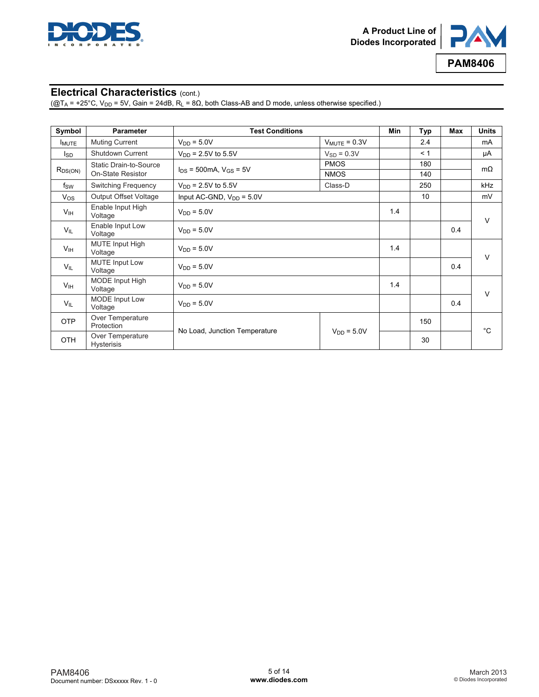



### **Electrical Characteristics** (cont.)

( $@T_A = +25^\circ C$ ,  $V_{DD} = 5V$ , Gain = 24dB,  $R_L = 8\Omega$ , both Class-AB and D mode, unless otherwise specified.)

| Symbol                 | <b>Parameter</b>                      | <b>Test Conditions</b>          |                   | Min | Typ | Max | <b>Units</b> |
|------------------------|---------------------------------------|---------------------------------|-------------------|-----|-----|-----|--------------|
| <b>I</b> MUTE          | <b>Muting Current</b>                 | $V_{DD} = 5.0V$                 | $V_{MUTE} = 0.3V$ |     | 2.4 |     | mA           |
| l <sub>SD</sub>        | Shutdown Current                      | $V_{DD} = 2.5V$ to 5.5V         | $V_{SD} = 0.3V$   |     | < 1 |     | μA           |
| Static Drain-to-Source |                                       |                                 | <b>PMOS</b>       |     | 180 |     | $m\Omega$    |
| $R_{DS(ON)}$           | On-State Resistor                     | $I_{DS}$ = 500mA, $V_{GS}$ = 5V | <b>NMOS</b>       |     | 140 |     |              |
| $f_{\rm SW}$           | Switching Frequency                   | $V_{DD} = 2.5V$ to 5.5V         | Class-D           |     | 250 |     | kHz          |
| $V_{OS}$               | Output Offset Voltage                 | Input AC-GND, $V_{DD} = 5.0V$   |                   |     | 10  |     | mV           |
| V <sub>IH</sub>        | Enable Input High<br>Voltage          | $V_{DD} = 5.0V$                 |                   | 1.4 |     |     | $\vee$       |
| $V_{IL}$               | Enable Input Low<br>Voltage           | $V_{DD} = 5.0V$                 |                   |     |     | 0.4 |              |
| V <sub>IH</sub>        | <b>MUTE Input High</b><br>Voltage     | $V_{DD} = 5.0V$                 |                   | 1.4 |     |     | $\vee$       |
| $V_{IL}$               | <b>MUTE Input Low</b><br>Voltage      | $V_{DD} = 5.0V$                 |                   |     |     | 0.4 |              |
| V <sub>IH</sub>        | <b>MODE</b> Input High<br>Voltage     | $V_{DD} = 5.0V$                 |                   | 1.4 |     |     | $\vee$       |
| $V_{IL}$               | MODE Input Low<br>Voltage             | $V_{DD} = 5.0V$                 |                   |     |     | 0.4 |              |
| <b>OTP</b>             | Over Temperature<br>Protection        | No Load, Junction Temperature   |                   |     | 150 |     | $^{\circ}C$  |
| <b>OTH</b>             | Over Temperature<br><b>Hysterisis</b> |                                 | $V_{DD} = 5.0V$   |     | 30  |     |              |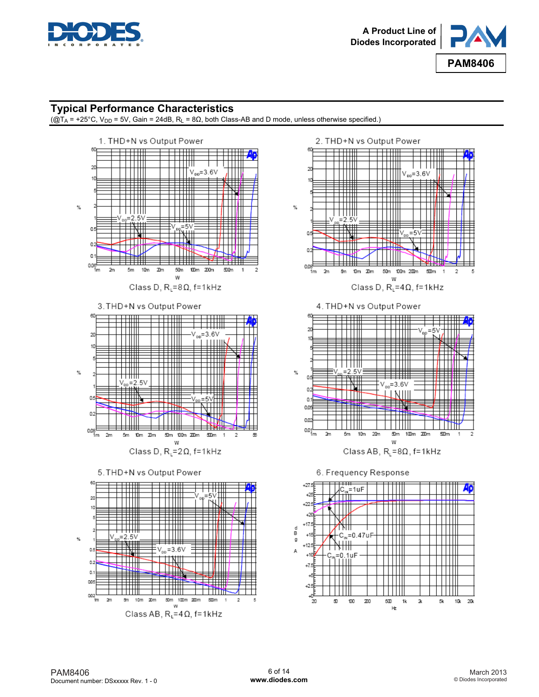



### **Typical Performance Characteristics**

 $(\overline{Q}T_A = +25^{\circ}C, V_{DD} = 5V,$  Gain = 24dB, R<sub>L</sub> = 8 $\Omega$ , both Class-AB and D mode, unless otherwise specified.)

 $%$ 











6. Frequency Response

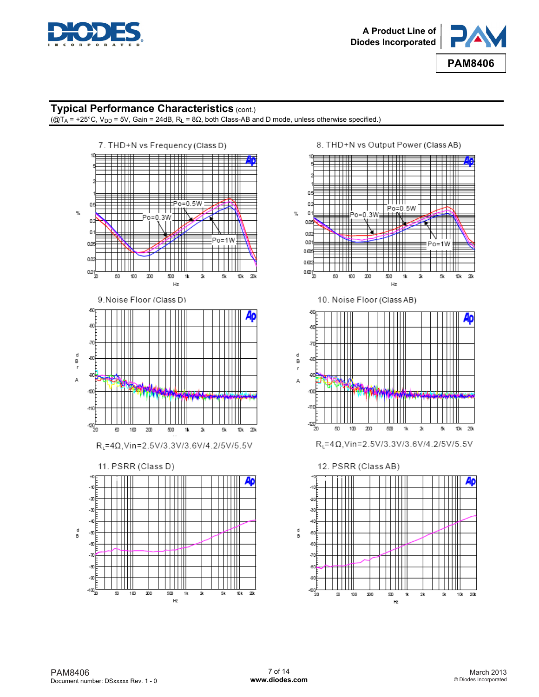



### **Typical Performance Characteristics (cont.)**

 $(\overline{Q}T_A = +25^\circ C, V_{DD} = 5V,$  Gain = 24dB, R<sub>L</sub> = 8 $\Omega$ , both Class-AB and D mode, unless otherwise specified.)



8. THD+N vs Output Power (Class AB)



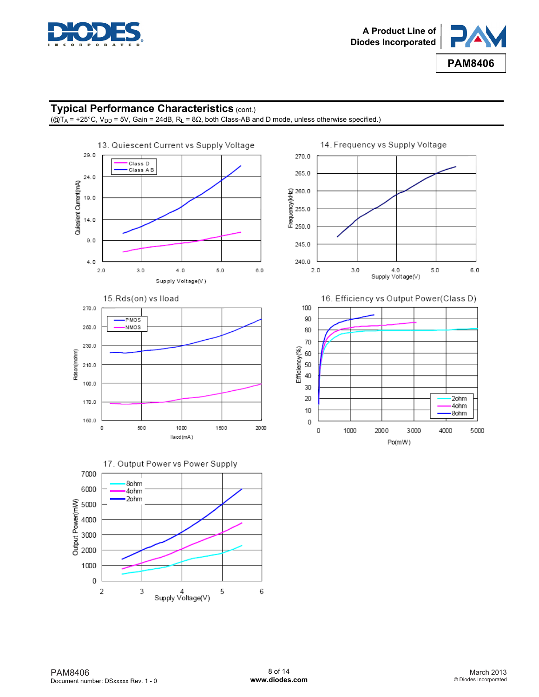



### **Typical Performance Characteristics** (cont.)

 $(\overline{Q}T_A$  = +25°C, V<sub>DD</sub> = 5V, Gain = 24dB, R<sub>L</sub> = 8 $\Omega$ , both Class-AB and D mode, unless otherwise specified.)





17. Output Power vs Power Supply 7000 8ohm 6000 4ohm 2ohm Output Power(mW) 5000 4000 3000 2000 1000 0  $\sqrt{2}$ 6 3 4<br>Supply Voltage(V) 5





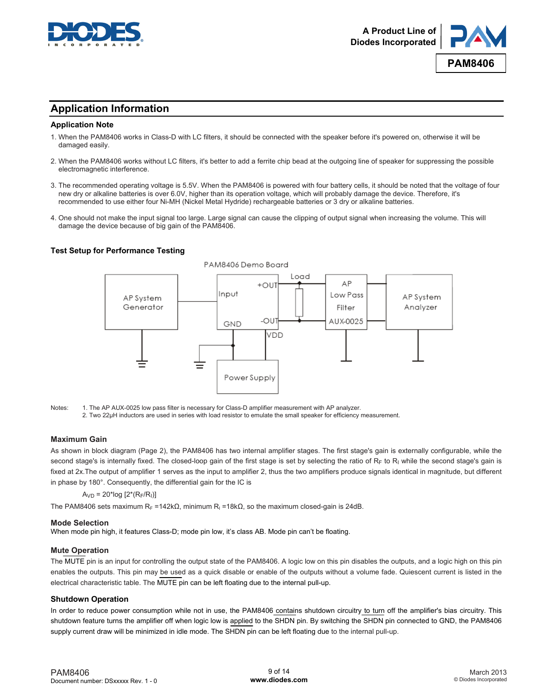



### **Application Information**

#### **Application Note**

- 1. When the PAM8406 works in Class-D with LC filters, it should be connected with the speaker before it's powered on, otherwise it will be damaged easily.
- 2. When the PAM8406 works without LC filters, it's better to add a ferrite chip bead at the outgoing line of speaker for suppressing the possible electromagnetic interference.
- 3. The recommended operating voltage is 5.5V. When the PAM8406 is powered with four battery cells, it should be noted that the voltage of four new dry or alkaline batteries is over 6.0V, higher than its operation voltage, which will probably damage the device. Therefore, it's recommended to use either four Ni-MH (Nickel Metal Hydride) rechargeable batteries or 3 dry or alkaline batteries.
- 4. One should not make the input signal too large. Large signal can cause the clipping of output signal when increasing the volume. This will damage the device because of big gain of the PAM8406.

#### **Test Setup for Performance Testing**



Notes: 1. The AP AUX-0025 low pass filter is necessary for Class-D amplifier measurement with AP analyzer. 2. Two 22μH inductors are used in series with load resistor to emulate the small speaker for efficiency measurement.

#### **Maximum Gain**

As shown in block diagram (Page 2), the PAM8406 has two internal amplifier stages. The first stage's gain is externally configurable, while the second stage's is internally fixed. The closed-loop gain of the first stage is set by selecting the ratio of RF to RI while the second stage's gain is fixed at 2x.The output of amplifier 1 serves as the input to amplifier 2, thus the two amplifiers produce signals identical in magnitude, but different in phase by 180°. Consequently, the differential gain for the IC is

#### $A_{VD} = 20*log [2*(R_F/R_I)]$

The PAM8406 sets maximum R<sub>F</sub> =142kΩ, minimum R<sub>I</sub> =18kΩ, so the maximum closed-gain is 24dB.

#### **Mode Selection**

When mode pin high, it features Class-D; mode pin low, it's class AB. Mode pin can't be floating.

#### **Mute Operation**

The MUTE pin is an input for controlling the output state of the PAM8406. A logic low on this pin disables the outputs, and a logic high on this pin enables the outputs. This pin may be used as a quick disable or enable of the outputs without a volume fade. Quiescent current is listed in the electrical characteristic table. The MUTE pin can be left floating due to the internal pull-up.

#### **Shutdown Operation**

In order to reduce power consumption while not in use, the PAM8406 contains shutdown circuitry to turn off the amplifier's bias circuitry. This shutdown feature turns the amplifier off when logic low is applied to the SHDN pin. By switching the SHDN pin connected to GND, the PAM8406 supply current draw will be minimized in idle mode. The SHDN pin can be left floating due to the internal pull-up.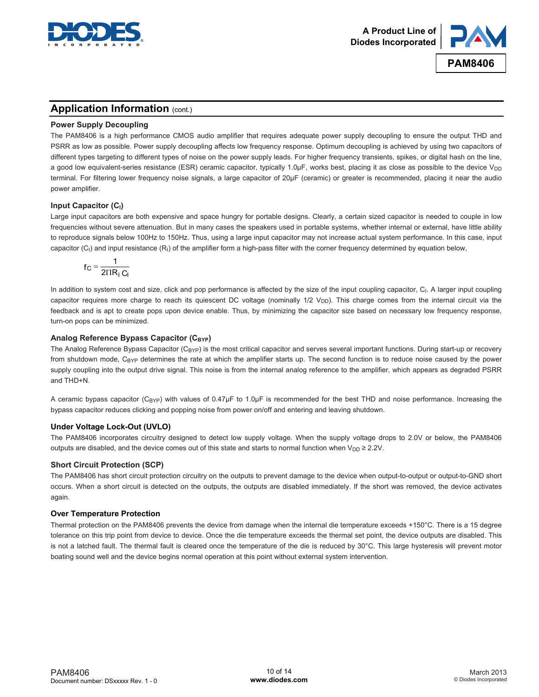



### **Application Information (cont.)**

#### **Power Supply Decoupling**

The PAM8406 is a high performance CMOS audio amplifier that requires adequate power supply decoupling to ensure the output THD and PSRR as low as possible. Power supply decoupling affects low frequency response. Optimum decoupling is achieved by using two capacitors of different types targeting to different types of noise on the power supply leads. For higher frequency transients, spikes, or digital hash on the line, a good low equivalent-series resistance (ESR) ceramic capacitor, typically 1.0μF, works best, placing it as close as possible to the device V<sub>DD</sub> terminal. For filtering lower frequency noise signals, a large capacitor of 20μF (ceramic) or greater is recommended, placing it near the audio power amplifier.

### **Input Capacitor (C<sub>I</sub>)**

Large input capacitors are both expensive and space hungry for portable designs. Clearly, a certain sized capacitor is needed to couple in low frequencies without severe attenuation. But in many cases the speakers used in portable systems, whether internal or external, have little ability to reproduce signals below 100Hz to 150Hz. Thus, using a large input capacitor may not increase actual system performance. In this case, input capacitor  $(C<sub>1</sub>)$  and input resistance  $(R<sub>1</sub>)$  of the amplifier form a high-pass filter with the corner frequency determined by equation below,

$$
f_C = \frac{1}{2\Pi R_1 C_1}
$$

In addition to system cost and size, click and pop performance is affected by the size of the input coupling capacitor, C<sub>I</sub>. A larger input coupling capacitor requires more charge to reach its quiescent DC voltage (nominally 1/2 V<sub>DD</sub>). This charge comes from the internal circuit via the feedback and is apt to create pops upon device enable. Thus, by minimizing the capacitor size based on necessary low frequency response, turn-on pops can be minimized.

### Analog Reference Bypass Capacitor (C<sub>BYP</sub>)

The Analog Reference Bypass Capacitor  $(C_{\text{BYP}})$  is the most critical capacitor and serves several important functions. During start-up or recovery from shutdown mode, C<sub>BYP</sub> determines the rate at which the amplifier starts up. The second function is to reduce noise caused by the power supply coupling into the output drive signal. This noise is from the internal analog reference to the amplifier, which appears as degraded PSRR and THD+N.

A ceramic bypass capacitor (C<sub>BYP</sub>) with values of 0.47μF to 1.0μF is recommended for the best THD and noise performance. Increasing the bypass capacitor reduces clicking and popping noise from power on/off and entering and leaving shutdown.

#### **Under Voltage Lock-Out (UVLO)**

The PAM8406 incorporates circuitry designed to detect low supply voltage. When the supply voltage drops to 2.0V or below, the PAM8406 outputs are disabled, and the device comes out of this state and starts to normal function when  $V_{DD} \ge 2.2V$ .

#### **Short Circuit Protection (SCP)**

The PAM8406 has short circuit protection circuitry on the outputs to prevent damage to the device when output-to-output or output-to-GND short occurs. When a short circuit is detected on the outputs, the outputs are disabled immediately. If the short was removed, the device activates again.

#### **Over Temperature Protection**

Thermal protection on the PAM8406 prevents the device from damage when the internal die temperature exceeds +150°C. There is a 15 degree tolerance on this trip point from device to device. Once the die temperature exceeds the thermal set point, the device outputs are disabled. This is not a latched fault. The thermal fault is cleared once the temperature of the die is reduced by 30°C. This large hysteresis will prevent motor boating sound well and the device begins normal operation at this point without external system intervention.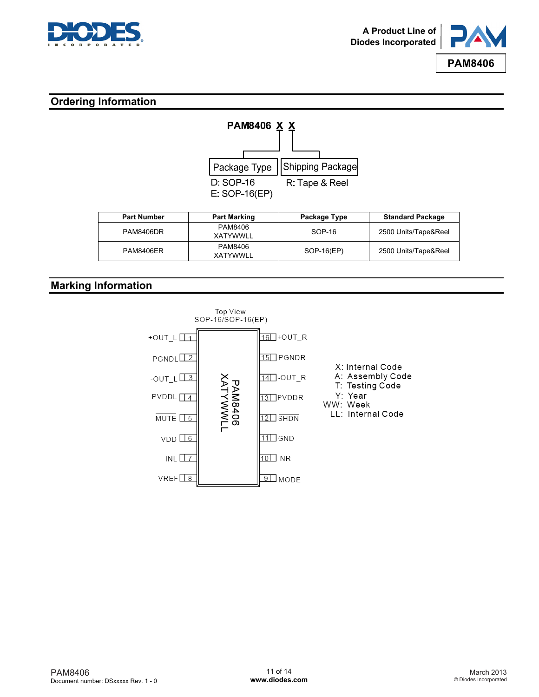



### **Ordering Information**



| <b>Part Number</b> | <b>Part Marking</b> | Package Type | <b>Standard Package</b> |
|--------------------|---------------------|--------------|-------------------------|
| PAM8406DR          | PAM8406<br>XATYWWLL | SOP-16       | 2500 Units/Tape&Reel    |
| PAM8406ER          | PAM8406<br>XATYWWLL | SOP-16(EP)   | 2500 Units/Tape&Reel    |

### **Marking Information**

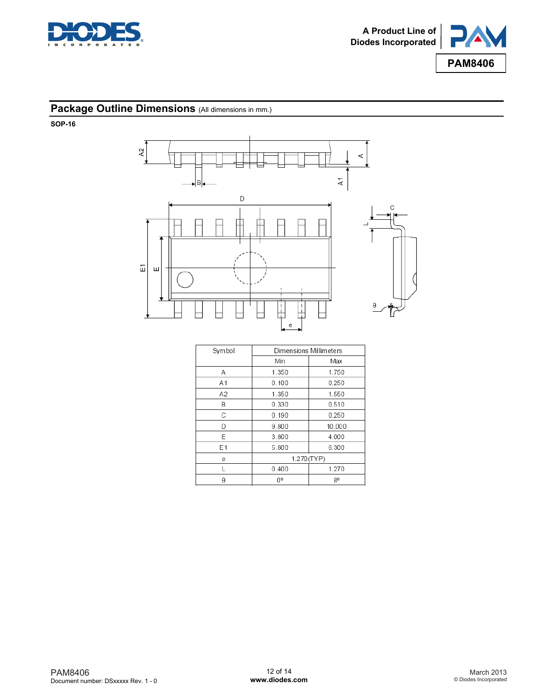



### **Package Outline Dimensions** (All dimensions in mm.)

**SOP-16** 



| Symbol | Dimensions Millimeters |        |  |
|--------|------------------------|--------|--|
|        | Min                    | Max    |  |
| Α      | 1.350                  | 1.750  |  |
| A1     | 0.100                  | 0.250  |  |
| A2     | 1.350                  | 1.550  |  |
| В      | 0.330                  | 0.510  |  |
| C      | 0.190                  | 0.250  |  |
| D      | 9.800                  | 10.000 |  |
| E      | 3.800                  | 4.000  |  |
| E1     | 5.800                  | 6.300  |  |
| е      | 1.270(TYP)             |        |  |
|        | 0.400                  | 1.270  |  |
| θ      | n۰                     | 80     |  |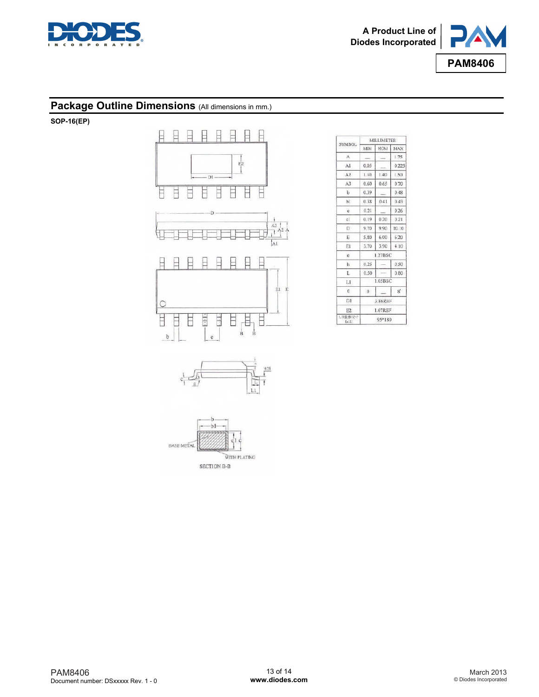



### Package Outline Dimensions (All dimensions in mm.)

**SOP-16(EP)** 



WITH PLATING

SECTION B-B

| SYMBOL            | MILLIMETER |            |       |  |
|-------------------|------------|------------|-------|--|
|                   | MIN        | <b>NOM</b> | MAX   |  |
| $\mathbf{A}$      |            |            | 1.75  |  |
| AI                | 0.05       |            | 0.225 |  |
| A2                | 1.30       | 1.40       | 1.50  |  |
| A <sub>3</sub>    | 0.60       | 0.65       | 0.70  |  |
| $\mathbf b$       | 0.39       |            | 0.48  |  |
| bi                | 0.38       | 0.41       | 0.43  |  |
| e                 | 0.21       |            | 0.26  |  |
| c1                | 0.19       | 0.20       | 0.21  |  |
| D.                | 9.70       | 9.90       | 10.10 |  |
| Ë                 | 5.80       | 6.00       | 6.20  |  |
| Εl                | 3.70       | 3:90       | 4.10  |  |
| e                 |            | 1.27BSC    |       |  |
| h                 | 0.25       |            | 0.50  |  |
| L                 | 0.50       |            | 0.80  |  |
| L1                |            | 1.05BSC    |       |  |
| $\Omega$          | $\Omega$   |            | s,    |  |
| D1                | 3.86REF    |            |       |  |
| E2                | 1.67REF    |            |       |  |
| 1. 宇發体尺寸<br>(iii) | 95*180     |            |       |  |